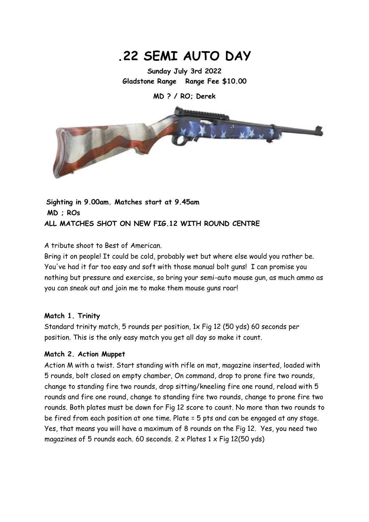# **.22 SEMI AUTO DAY**

**Sunday July 3rd 2022 Gladstone Range Range Fee \$10.00**

**MD ? / RO; Derek** 



**Sighting in 9.00am. Matches start at 9.45am MD ; ROs ALL MATCHES SHOT ON NEW FIG.12 WITH ROUND CENTRE**

A tribute shoot to Best of American.

Bring it on people! It could be cold, probably wet but where else would you rather be. You've had it far too easy and soft with those manual bolt guns! I can promise you nothing but pressure and exercise, so bring your semi-auto mouse gun, as much ammo as you can sneak out and join me to make them mouse guns roar!

#### **Match 1. Trinity**

Standard trinity match, 5 rounds per position, 1x Fig 12 (50 yds) 60 seconds per position. This is the only easy match you get all day so make it count.

#### **Match 2. Action Muppet**

Action M with a twist. Start standing with rifle on mat, magazine inserted, loaded with 5 rounds, bolt closed on empty chamber, On command, drop to prone fire two rounds, change to standing fire two rounds, drop sitting/kneeling fire one round, reload with 5 rounds and fire one round, change to standing fire two rounds, change to prone fire two rounds. Both plates must be down for Fig 12 score to count. No more than two rounds to be fired from each position at one time. Plate = 5 pts and can be engaged at any stage. Yes, that means you will have a maximum of 8 rounds on the Fig 12. Yes, you need two magazines of 5 rounds each. 60 seconds.  $2 \times$  Plates  $1 \times$  Fig 12(50 yds)